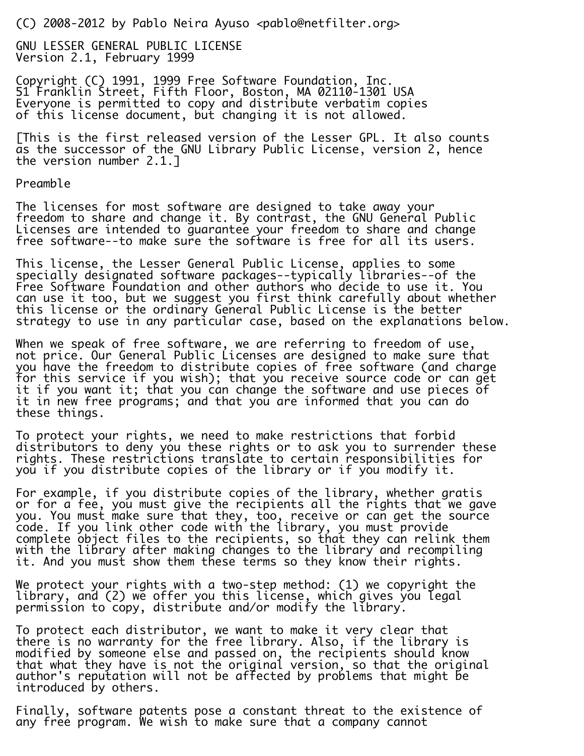(C) 2008-2012 by Pablo Neira Ayuso <pablo@netfilter.org>

GNU LESSER GENERAL PUBLIC LICENSE Version 2.1, February 1999

Copyright (C) 1991, 1999 Free Software Foundation, Inc. 51 Franklin Street, Fifth Floor, Boston, MA 02110-1301 USA Everyone is permitted to copy and distribute verbatim copies of this license document, but changing it is not allowed.

[This is the first released version of the Lesser GPL. It also counts as the successor of the GNU Library Public License, version 2, hence the version number 2.1.]

Preamble

The licenses for most software are designed to take away your freedom to share and change it. By contrast, the GNU General Public Licenses are intended to guarantee your freedom to share and change free software--to make sure the software is free for all its users.

This license, the Lesser General Public License, applies to some specially designated software packages--typically libraries--of the Free Software Foundation and other authors who decide to use it. You can use it too, but we suggest you first think carefully about whether this license or the ordinary General Public License is the better strategy to use in any particular case, based on the explanations below.

When we speak of free software, we are referring to freedom of use, not price. Our General Public Licenses are designed to make sure that you have the freedom to distribute copies of free software (and charge for this service if you wish); that you receive source code or can get it if you want it; that you can change the software and use pieces of it in new free programs; and that you are informed that you can do these things.

To protect your rights, we need to make restrictions that forbid distributors to deny you these rights or to ask you to surrender these rights. These restrictions translate to certain responsibilities for you if you distribute copies of the library or if you modify it.

For example, if you distribute copies of the library, whether gratis or for a fee, you must give the recipients all the rights that we gave you. You must make sure that they, too, receive or can get the source code. If you link other code with the library, you must provide complete object files to the recipients, so that they can relink them with the library after making changes to the library and recompiling it. And you must show them these terms so they know their rights.

We protect your rights with a two-step method: (1) we copyright the library, and (2) we offer you this license, which gives you legal permission to copy, distribute and/or modify the library.

To protect each distributor, we want to make it very clear that there is no warranty for the free library. Also, if the library is modified by someone else and passed on, the recipients should know that what they have is not the original version, so that the original author's reputation will not be affected by problems that might be introduced by others.

Finally, software patents pose a constant threat to the existence of any free program. We wish to make sure that a company cannot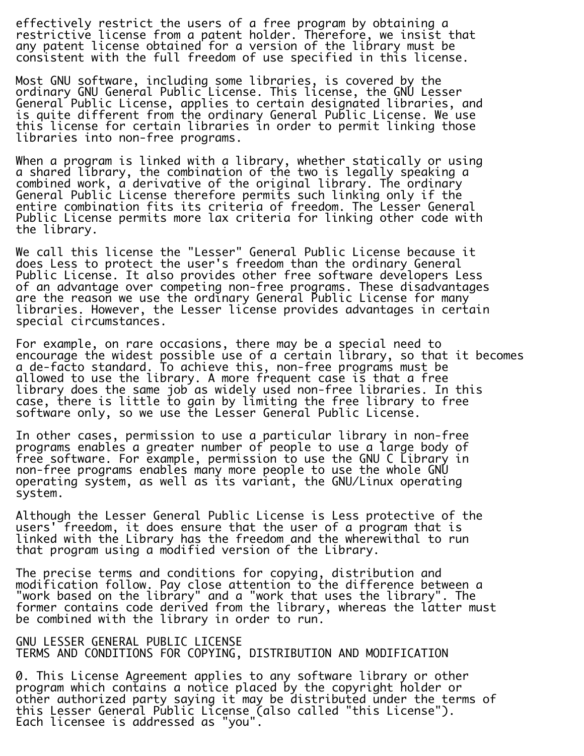effectively restrict the users of a free program by obtaining a restrictive license from a patent holder. Therefore, we insist that any patent license obtained for a version of the library must be consistent with the full freedom of use specified in this license.

Most GNU software, including some libraries, is covered by the ordinary GNU General Public License. This license, the GNU Lesser General Public License, applies to certain designated libraries, and is quite different from the ordinary General Public License. We use this license for certain libraries in order to permit linking those libraries into non-free programs.

When a program is linked with a library, whether statically or using a shared library, the combination of the two is legally speaking a combined work, a derivative of the original library. The ordinary General Public License therefore permits such linking only if the entire combination fits its criteria of freedom. The Lesser General Public License permits more lax criteria for linking other code with the library.

We call this license the "Lesser" General Public License because it does Less to protect the user's freedom than the ordinary General Public License. It also provides other free software developers Less of an advantage over competing non-free programs. These disadvantages are the reason we use the ordinary General Public License for many libraries. However, the Lesser license provides advantages in certain special circumstances.

For example, on rare occasions, there may be a special need to encourage the widest possible use of a certain library, so that it becomes a de-facto standard. To achieve this, non-free programs must be allowed to use the library. A more frequent case is that a free library does the same job as widely used non-free libraries. In this case, there is little to gain by limiting the free library to free software only, so we use the Lesser General Public License.

In other cases, permission to use a particular library in non-free programs enables a greater number of people to use a large body of free software. For example, permission to use the GNU C Library in non-free programs enables many more people to use the whole GNU operating system, as well as its variant, the GNU/Linux operating system.

Although the Lesser General Public License is Less protective of the users' freedom, it does ensure that the user of a program that is linked with the Library has the freedom and the wherewithal to run that program using a modified version of the Library.

The precise terms and conditions for copying, distribution and modification follow. Pay close attention to the difference between a "work based on the library" and a "work that uses the library". The former contains code derived from the library, whereas the latter must be combined with the library in order to run.

GNU LESSER GENERAL PUBLIC LICENSE TERMS AND CONDITIONS FOR COPYING, DISTRIBUTION AND MODIFICATION

0. This License Agreement applies to any software library or other program which contains a notice placed by the copyright holder or other authorized party saying it may be distributed under the terms of this Lesser General Public License (also called "this License"). Each licensee is addressed as "you".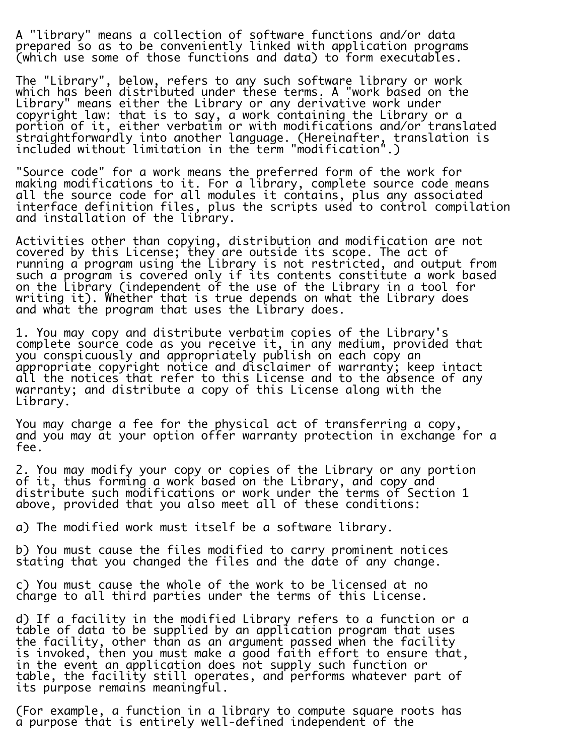A "library" means a collection of software functions and/or data prepared so as to be conveniently linked with application programs (which use some of those functions and data) to form executables.

The "Library", below, refers to any such software library or work which has been distributed under these terms. A "work based on the Library" means either the Library or any derivative work under copyright law: that is to say, a work containing the Library or a portion of it, either verbatim or with modifications and/or translated straightforwardly into another language. (Hereinafter, translation is included without limitation in the term "modification".)

"Source code" for a work means the preferred form of the work for making modifications to it. For a library, complete source code means all the source code for all modules it contains, plus any associated interface definition files, plus the scripts used to control compilation and installation of the library.

Activities other than copying, distribution and modification are not covered by this License; they are outside its scope. The act of running a program using the Library is not restricted, and output from such a program is covered only if its contents constitute a work based on the Library (independent of the use of the Library in a tool for writing it). Whether that is true depends on what the Library does and what the program that uses the Library does.

1. You may copy and distribute verbatim copies of the Library's complete source code as you receive it, in any medium, provided that you conspicuously and appropriately publish on each copy an appropriate copyright notice and disclaimer of warranty; keep intact all the notices that refer to this License and to the absence of any warranty; and distribute a copy of this License along with the Library.

You may charge a fee for the physical act of transferring a copy, and you may at your option offer warranty protection in exchange for a fee.

2. You may modify your copy or copies of the Library or any portion of it, thus forming a work based on the Library, and copy and distribute such modifications or work under the terms of Section 1 above, provided that you also meet all of these conditions:

a) The modified work must itself be a software library.

b) You must cause the files modified to carry prominent notices stating that you changed the files and the date of any change.

c) You must cause the whole of the work to be licensed at no charge to all third parties under the terms of this License.

d) If a facility in the modified Library refers to a function or a table of data to be supplied by an application program that uses the facility, other than as an argument passed when the facility is invoked, then you must make a good faith effort to ensure that, in the event an application does not supply such function or table, the facility still operates, and performs whatever part of its purpose remains meaningful.

(For example, a function in a library to compute square roots has a purpose that is entirely well-defined independent of the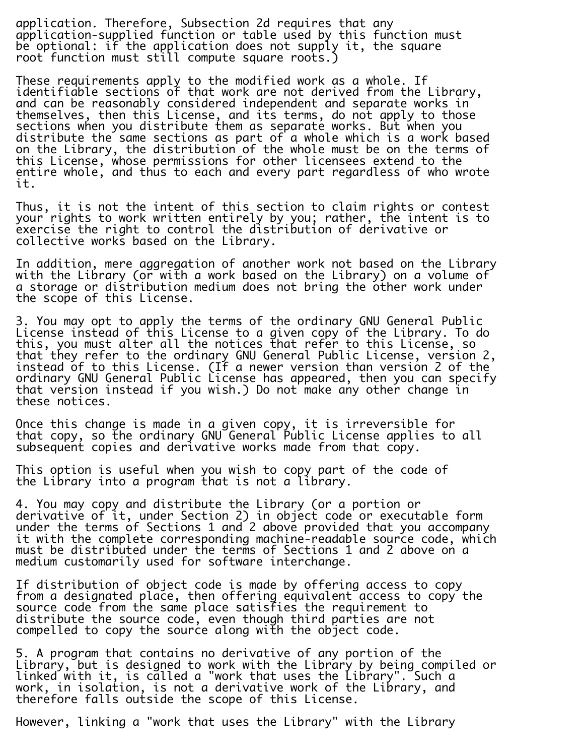application. Therefore, Subsection 2d requires that any application-supplied function or table used by this function must be optional: if the application does not supply it, the square root function must still compute square roots.)

These requirements apply to the modified work as a whole. If identifiable sections of that work are not derived from the Library, and can be reasonably considered independent and separate works in themselves, then this License, and its terms, do not apply to those sections when you distribute them as separate works. But when you distribute the same sections as part of a whole which is a work based on the Library, the distribution of the whole must be on the terms of this License, whose permissions for other licensees extend to the entire whole, and thus to each and every part regardless of who wrote it.

Thus, it is not the intent of this section to claim rights or contest your rights to work written entirely by you; rather, the intent is to exercise the right to control the distribution of derivative or collective works based on the Library.

In addition, mere aggregation of another work not based on the Library with the Library (or with a work based on the Library) on a volume of a storage or distribution medium does not bring the other work under the scope of this License.

3. You may opt to apply the terms of the ordinary GNU General Public License instead of this License to a given copy of the Library. To do this, you must alter all the notices that refer to this License, so that they refer to the ordinary GNU General Public License, version 2, instead of to this License. (If a newer version than version 2 of the ordinary GNU General Public License has appeared, then you can specify that version instead if you wish.) Do not make any other change in these notices.

Once this change is made in a given copy, it is irreversible for that copy, so the ordinary GNU General Public License applies to all subsequent copies and derivative works made from that copy.

This option is useful when you wish to copy part of the code of the Library into a program that is not a library.

4. You may copy and distribute the Library (or a portion or derivative of it, under Section 2) in object code or executable form under the terms of Sections 1 and 2 above provided that you accompany it with the complete corresponding machine-readable source code, which must be distributed under the terms of Sections 1 and 2 above on a medium customarily used for software interchange.

If distribution of object code is made by offering access to copy from a designated place, then offering equivalent access to copy the source code from the same place satisfies the requirement to distribute the source code, even though third parties are not compelled to copy the source along with the object code.

5. A program that contains no derivative of any portion of the Library, but is designed to work with the Library by being compiled or linked with it, is called a "work that uses the Library". Such a work, in isolation, is not a derivative work of the Library, and therefore falls outside the scope of this License.

However, linking a "work that uses the Library" with the Library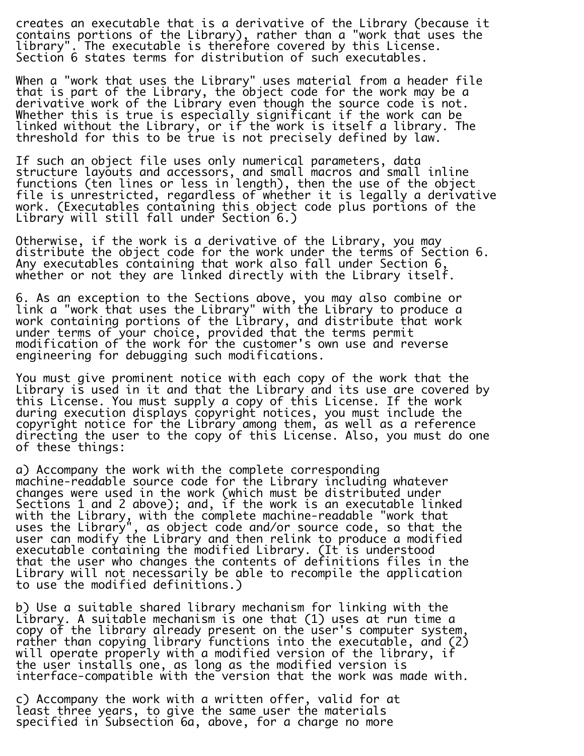creates an executable that is a derivative of the Library (because it contains portions of the Library), rather than a "work that uses the library". The executable is therefore covered by this License. Section 6 states terms for distribution of such executables.

When a "work that uses the Library" uses material from a header file that is part of the Library, the object code for the work may be a derivative work of the Library even though the source code is not. Whether this is true is especially significant if the work can be linked without the Library, or if the work is itself a library. The threshold for this to be true is not precisely defined by law.

If such an object file uses only numerical parameters, data structure layouts and accessors, and small macros and small inline functions (ten lines or less in length), then the use of the object file is unrestricted, regardless of whether it is legally a derivative work. (Executables containing this object code plus portions of the Library will still fall under Section 6.)

Otherwise, if the work is a derivative of the Library, you may distribute the object code for the work under the terms of Section 6. Any executables containing that work also fall under Section 6, whether or not they are linked directly with the Library itself.

6. As an exception to the Sections above, you may also combine or link a "work that uses the Library" with the Library to produce a work containing portions of the Library, and distribute that work under terms of your choice, provided that the terms permit modification of the work for the customer's own use and reverse engineering for debugging such modifications.

You must give prominent notice with each copy of the work that the Library is used in it and that the Library and its use are covered by this License. You must supply a copy of this License. If the work during execution displays copyright notices, you must include the copyright notice for the Library among them, as well as a reference directing the user to the copy of this License. Also, you must do one of these things:

a) Accompany the work with the complete corresponding machine-readable source code for the Library including whatever changes were used in the work (which must be distributed under Sections 1 and 2 above); and, if the work is an executable linked with the Library, with the complete machine-readable "work that uses the Library", as object code and/or source code, so that the user can modify the Library and then relink to produce a modified executable containing the modified Library. (It is understood that the user who changes the contents of definitions files in the Library will not necessarily be able to recompile the application to use the modified definitions.)

b) Use a suitable shared library mechanism for linking with the Library. A suitable mechanism is one that (1) uses at run time a copy of the library already present on the user's computer system, rather than copying library functions into the executable, and (2) will operate properly with a modified version of the library, if the user installs one, as long as the modified version is interface-compatible with the version that the work was made with.

c) Accompany the work with a written offer, valid for at least three years, to give the same user the materials specified in Subsection 6a, above, for a charge no more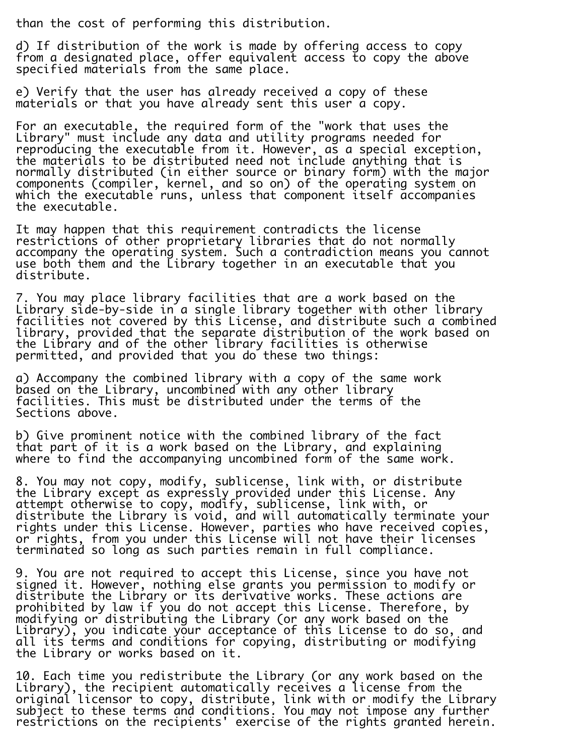than the cost of performing this distribution.

d) If distribution of the work is made by offering access to copy from a designated place, offer equivalent access to copy the above specified materials from the same place.

e) Verify that the user has already received a copy of these materials or that you have already sent this user a copy.

For an executable, the required form of the "work that uses the Library" must include any data and utility programs needed for reproducing the executable from it. However, as a special exception, the materials to be distributed need not include anything that is normally distributed (in either source or binary form) with the major components (compiler, kernel, and so on) of the operating system on which the executable runs, unless that component itself accompanies the executable.

It may happen that this requirement contradicts the license restrictions of other proprietary libraries that do not normally accompany the operating system. Such a contradiction means you cannot use both them and the Library together in an executable that you distribute.

7. You may place library facilities that are a work based on the Library side-by-side in a single library together with other library facilities not covered by this License, and distribute such a combined library, provided that the separate distribution of the work based on the Library and of the other library facilities is otherwise permitted, and provided that you do these two things:

a) Accompany the combined library with a copy of the same work based on the Library, uncombined with any other library facilities. This must be distributed under the terms of the Sections above.

i.

b) Give prominent notice with the combined library of the fact that part of it is a work based on the Library, and explaining where to find the accompanying uncombined form of the same work.

8. You may not copy, modify, sublicense, link with, or distribute the Library except as expressly provided under this License. Any attempt otherwise to copy, modify, sublicense, link with, or distribute the Library is void, and will automatically terminate your rights under this License. However, parties who have received copies, or rights, from you under this License will not have their licenses terminated so long as such parties remain in full compliance.

9. You are not required to accept this License, since you have not signed it. However, nothing else grants you permission to modify or distribute the Library or its derivative works. These actions are prohibited by law if you do not accept this License. Therefore, by modifying or distributing the Library (or any work based on the Library), you indicate your acceptance of this License to do so, and all its terms and conditions for copying, distributing or modifying the Library or works based on it.

10. Each time you redistribute the Library (or any work based on the Library), the recipient automatically receives a license from the original licensor to copy, distribute, link with or modify the Library subject to these terms and conditions. You may not impose any further restrictions on the recipients' exercise of the rights granted herein.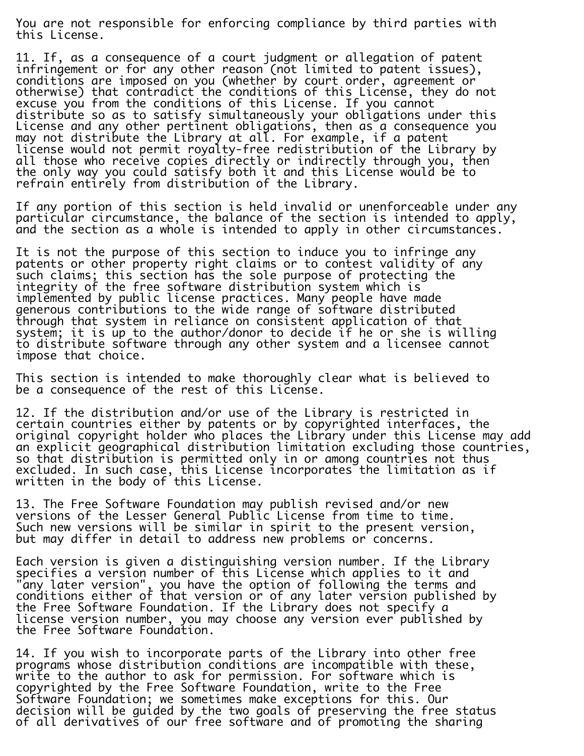You are not responsible for enforcing compliance by third parties with this License.

11. If, as a consequence of a court judgment or allegation of patent infringement or for any other reason (not limited to patent issues), conditions are imposed on you (whether by court order, agreement or otherwise) that contradict the conditions of this License, they do not excuse you from the conditions of this License. If you cannot distribute so as to satisfy simultaneously your obligations under this License and any other pertinent obligations, then as a consequence you may not distribute the Library at all. For example, if a patent license would not permit royalty-free redistribution of the Library by all those who receive copies directly or indirectly through you, then the only way you could satisfy both it and this License would be to refrain entirely from distribution of the Library.

If any portion of this section is held invalid or unenforceable under any particular circumstance, the balance of the section is intended to apply, and the section as a whole is intended to apply in other circumstances.

It is not the purpose of this section to induce you to infringe any patents or other property right claims or to contest validity of any such claims; this section has the sole purpose of protecting the integrity of the free software distribution system which is implemented by public license practices. Many people have made generous contributions to the wide range of software distributed through that system in reliance on consistent application of that system; it is up to the author/donor to decide if he or she is willing to distribute software through any other system and a licensee cannot impose that choice.

This section is intended to make thoroughly clear what is believed to be a consequence of the rest of this License.

12. If the distribution and/or use of the Library is restricted in certain countries either by patents or by copyrighted interfaces, the original copyright holder who places the Library under this License may add an explicit geographical distribution limitation excluding those countries, so that distribution is permitted only in or among countries not thus excluded. In such case, this License incorporates the limitation as if written in the body of this License.

13. The Free Software Foundation may publish revised and/or new versions of the Lesser General Public License from time to time. Such new versions will be similar in spirit to the present version, but may differ in detail to address new problems or concerns.

Each version is given a distinguishing version number. If the Library specifies a version number of this License which applies to it and "any later version", you have the option of following the terms and conditions either of that version or of any later version published by the Free Software Foundation. If the Library does not specify a license version number, you may choose any version ever published by the Free Software Foundation.

14. If you wish to incorporate parts of the Library into other free programs whose distribution conditions are incompatible with these, write to the author to ask for permission. For software which is copyrighted by the Free Software Foundation, write to the Free Software Foundation; we sometimes make exceptions for this. Our decision will be guided by the two goals of preserving the free status of all derivatives of our free software and of promoting the sharing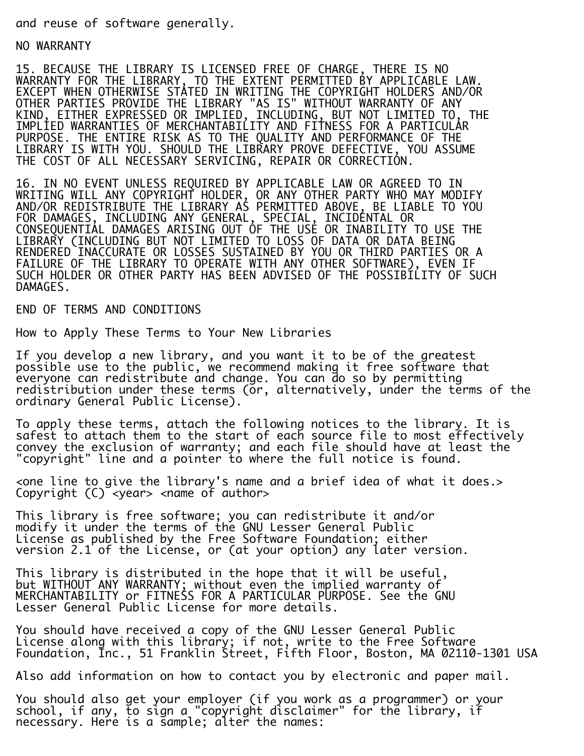and reuse of software generally.

NO WARRANTY

15. BECAUSE THE LIBRARY IS LICENSED FREE OF CHARGE, THERE IS NO WARRANTY FOR THE LIBRARY, TO THE EXTENT PERMITTED BY APPLICABLE LAW. EXCEPT WHEN OTHERWISE STATED IN WRITING THE COPYRIGHT HOLDERS AND/OR OTHER PARTIES PROVIDE THE LIBRARY "AS IS" WITHOUT WARRANTY OF ANY KIND, EITHER EXPRESSED OR IMPLIED, INCLUDING, BUT NOT LIMITED TO, THE IMPLIED WARRANTIES OF MERCHANTABILITY AND FITNESS FOR A PARTICULAR PURPOSE. THE ENTIRE RISK AS TO THE QUALITY AND PERFORMANCE OF THE LIBRARY IS WITH YOU. SHOULD THE LIBRARY PROVE DEFECTIVE, YOU ASSUME THE COST OF ALL NECESSARY SERVICING, REPAIR OR CORRECTION.

16. IN NO EVENT UNLESS REQUIRED BY APPLICABLE LAW OR AGREED TO IN WRITING WILL ANY COPYRIGHT HOLDER, OR ANY OTHER PARTY WHO MAY MODIFY AND/OR REDISTRIBUTE THE LIBRARY AS PERMITTED ABOVE, BE LIABLE TO YOU FOR DAMAGES, INCLUDING ANY GENERAL, SPECIAL, INCIDENTAL OR CONSEQUENTIAL DAMAGES ARISING OUT OF THE USE OR INABILITY TO USE THE LIBRARY (INCLUDING BUT NOT LIMITED TO LOSS OF DATA OR DATA BEING RENDERED INACCURATE OR LOSSES SUSTAINED BY YOU OR THIRD PARTIES OR A FAILURE OF THE LIBRARY TO OPERATE WITH ANY OTHER SOFTWARE), EVEN IF SUCH HOLDER OR OTHER PARTY HAS BEEN ADVISED OF THE POSSIBILITY OF SUCH DAMAGES.

END OF TERMS AND CONDITIONS

How to Apply These Terms to Your New Libraries

If you develop a new library, and you want it to be of the greatest possible use to the public, we recommend making it free software that everyone can redistribute and change. You can do so by permitting redistribution under these terms (or, alternatively, under the terms of the ordinary General Public License).

To apply these terms, attach the following notices to the library. It is safest to attach them to the start of each source file to most effectively convey the exclusion of warranty; and each file should have at least the "copyright" line and a pointer to where the full notice is found.

<one line to give the library's name and a brief idea of what it does.> Copyright (C) <year> <name of author>

This library is free software; you can redistribute it and/or modify it under the terms of the GNU Lesser General Public License as published by the Free Software Foundation; either version 2.1 of the License, or (at your option) any later version.

This library is distributed in the hope that it will be useful, but WITHOUT ANY WARRANTY; without even the implied warranty of MERCHANTABILITY or FITNESS FOR A PARTICULAR PURPOSE. See the GNU Lesser General Public License for more details.

You should have received a copy of the GNU Lesser General Public License along with this library; if not, write to the Free Software Foundation, Inc., 51 Franklin Street, Fifth Floor, Boston, MA 02110-1301 USA

Also add information on how to contact you by electronic and paper mail.

You should also get your employer (if you work as a programmer) or your school, if any, to sign a "copyright disclaimer" for the library, if necessary. Here is a sample; alter the names: